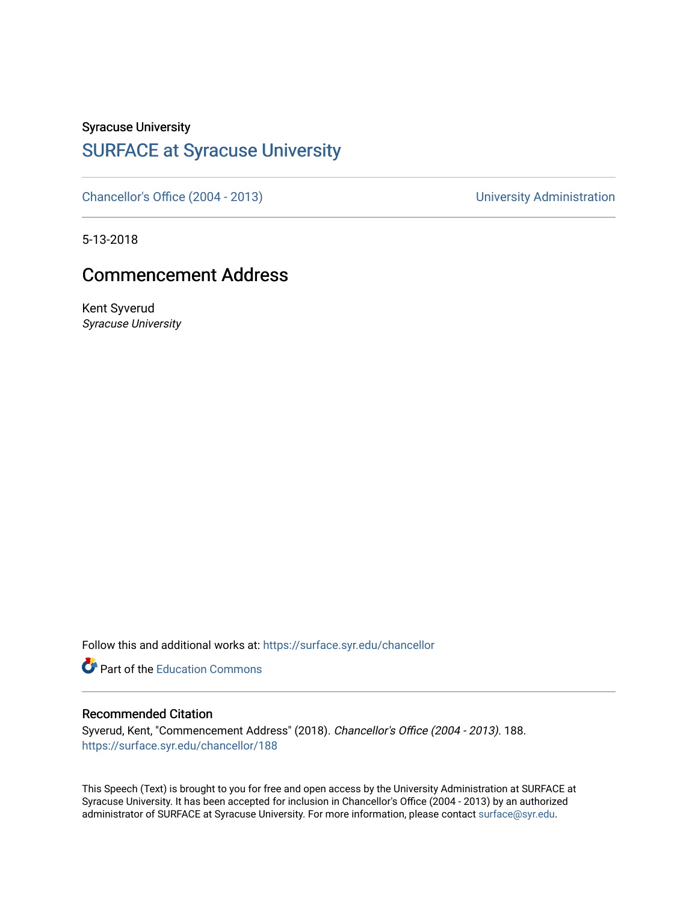Syracuse University

## [SURFACE at Syracuse University](https://surface.syr.edu/)

[Chancellor's Office \(2004 - 2013\)](https://surface.syr.edu/chancellor) Chancellor's Office (2004 - 2013)

5-13-2018

## Commencement Address

Kent Syverud Syracuse University

Follow this and additional works at: [https://surface.syr.edu/chancellor](https://surface.syr.edu/chancellor?utm_source=surface.syr.edu%2Fchancellor%2F188&utm_medium=PDF&utm_campaign=PDFCoverPages) 

**Part of the [Education Commons](http://network.bepress.com/hgg/discipline/784?utm_source=surface.syr.edu%2Fchancellor%2F188&utm_medium=PDF&utm_campaign=PDFCoverPages)** 

## Recommended Citation

Syverud, Kent, "Commencement Address" (2018). Chancellor's Office (2004 - 2013). 188. [https://surface.syr.edu/chancellor/188](https://surface.syr.edu/chancellor/188?utm_source=surface.syr.edu%2Fchancellor%2F188&utm_medium=PDF&utm_campaign=PDFCoverPages) 

This Speech (Text) is brought to you for free and open access by the University Administration at SURFACE at Syracuse University. It has been accepted for inclusion in Chancellor's Office (2004 - 2013) by an authorized administrator of SURFACE at Syracuse University. For more information, please contact [surface@syr.edu.](mailto:surface@syr.edu)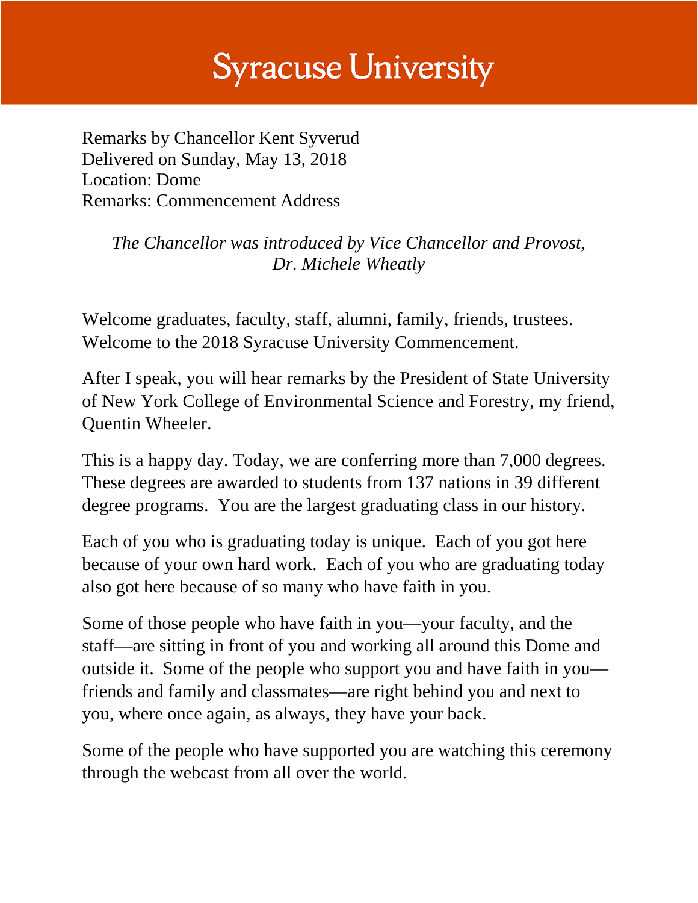## **Syracuse University**

Remarks by Chancellor Kent Syverud Delivered on Sunday, May 13, 2018 Location: Dome Remarks: Commencement Address

> *The Chancellor was introduced by Vice Chancellor and Provost, Dr. Michele Wheatly*

Welcome graduates, faculty, staff, alumni, family, friends, trustees. Welcome to the 2018 Syracuse University Commencement.

After I speak, you will hear remarks by the President of State University of New York College of Environmental Science and Forestry, my friend, Quentin Wheeler.

This is a happy day. Today, we are conferring more than 7,000 degrees. These degrees are awarded to students from 137 nations in 39 different degree programs. You are the largest graduating class in our history.

Each of you who is graduating today is unique. Each of you got here because of your own hard work. Each of you who are graduating today also got here because of so many who have faith in you.

Some of those people who have faith in you—your faculty, and the staff—are sitting in front of you and working all around this Dome and outside it. Some of the people who support you and have faith in you friends and family and classmates—are right behind you and next to you, where once again, as always, they have your back.

Some of the people who have supported you are watching this ceremony through the webcast from all over the world.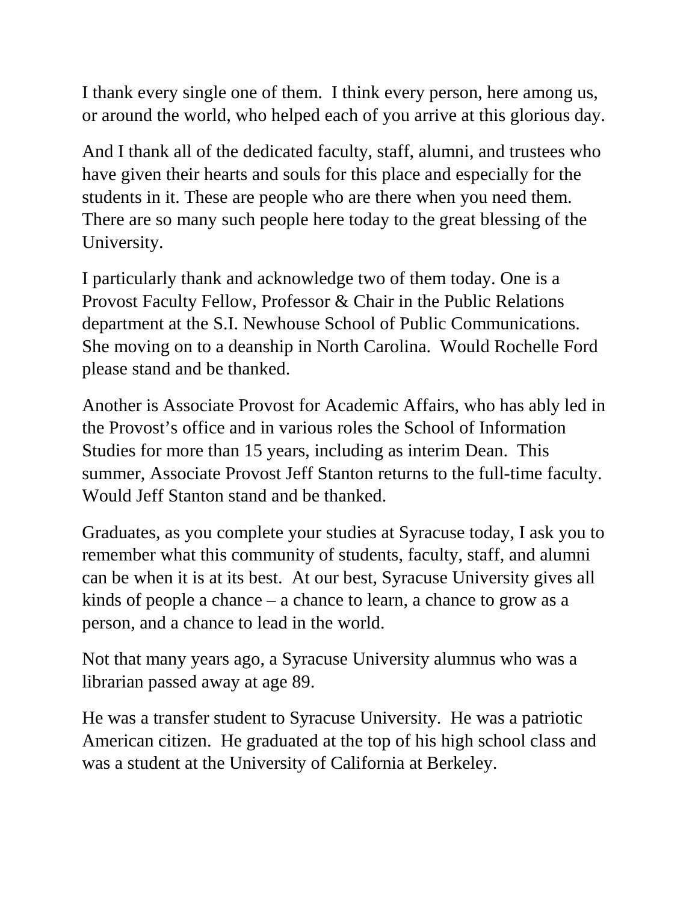I thank every single one of them. I think every person, here among us, or around the world, who helped each of you arrive at this glorious day.

And I thank all of the dedicated faculty, staff, alumni, and trustees who have given their hearts and souls for this place and especially for the students in it. These are people who are there when you need them. There are so many such people here today to the great blessing of the University.

I particularly thank and acknowledge two of them today. One is a Provost Faculty Fellow, Professor & Chair in the Public Relations department at the S.I. Newhouse School of Public Communications. She moving on to a deanship in North Carolina. Would Rochelle Ford please stand and be thanked.

Another is Associate Provost for Academic Affairs, who has ably led in the Provost's office and in various roles the School of Information Studies for more than 15 years, including as interim Dean. This summer, Associate Provost Jeff Stanton returns to the full-time faculty. Would Jeff Stanton stand and be thanked.

Graduates, as you complete your studies at Syracuse today, I ask you to remember what this community of students, faculty, staff, and alumni can be when it is at its best. At our best, Syracuse University gives all kinds of people a chance – a chance to learn, a chance to grow as a person, and a chance to lead in the world.

Not that many years ago, a Syracuse University alumnus who was a librarian passed away at age 89.

He was a transfer student to Syracuse University. He was a patriotic American citizen. He graduated at the top of his high school class and was a student at the University of California at Berkeley.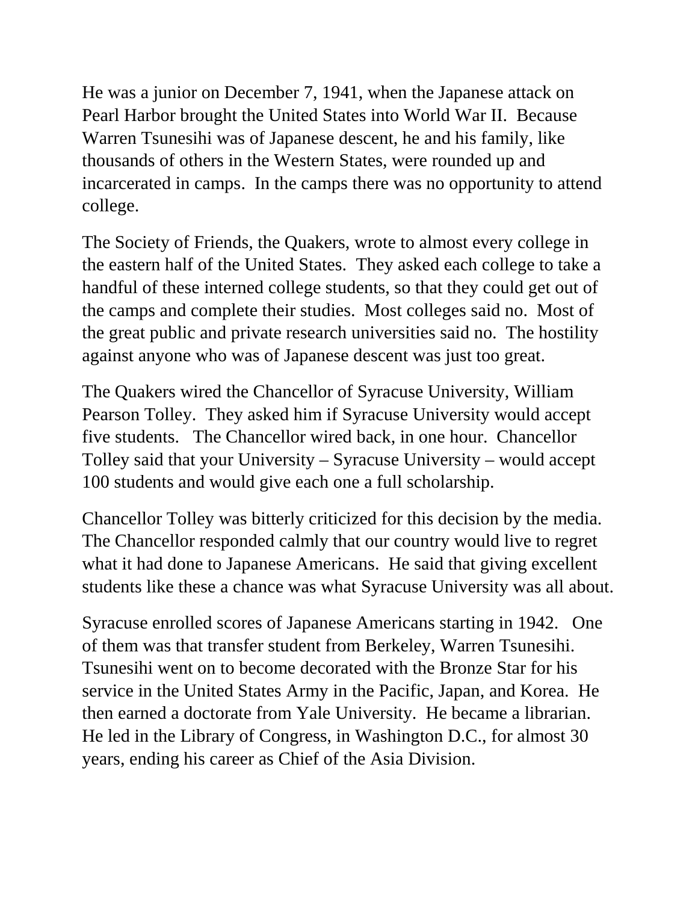He was a junior on December 7, 1941, when the Japanese attack on Pearl Harbor brought the United States into World War II. Because Warren Tsunesihi was of Japanese descent, he and his family, like thousands of others in the Western States, were rounded up and incarcerated in camps. In the camps there was no opportunity to attend college.

The Society of Friends, the Quakers, wrote to almost every college in the eastern half of the United States. They asked each college to take a handful of these interned college students, so that they could get out of the camps and complete their studies. Most colleges said no. Most of the great public and private research universities said no. The hostility against anyone who was of Japanese descent was just too great.

The Quakers wired the Chancellor of Syracuse University, William Pearson Tolley. They asked him if Syracuse University would accept five students. The Chancellor wired back, in one hour. Chancellor Tolley said that your University – Syracuse University – would accept 100 students and would give each one a full scholarship.

Chancellor Tolley was bitterly criticized for this decision by the media. The Chancellor responded calmly that our country would live to regret what it had done to Japanese Americans. He said that giving excellent students like these a chance was what Syracuse University was all about.

Syracuse enrolled scores of Japanese Americans starting in 1942. One of them was that transfer student from Berkeley, Warren Tsunesihi. Tsunesihi went on to become decorated with the Bronze Star for his service in the United States Army in the Pacific, Japan, and Korea. He then earned a doctorate from Yale University. He became a librarian. He led in the Library of Congress, in Washington D.C., for almost 30 years, ending his career as Chief of the Asia Division.